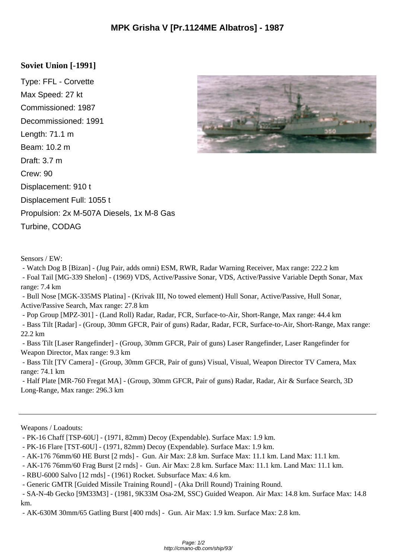## **Soviet Union [-1991]**

Type: FFL - Corvette Max Speed: 27 kt Commissioned: 1987 Decommissioned: 1991 Length: 71.1 m Beam: 10.2 m Draft: 3.7 m Crew: 90 Displacement: 910 t Displacement Full: 1055 t Propulsion: 2x M-507A Diesels, 1x M-8 Gas Turbine, CODAG



Sensors / EW:

- Watch Dog B [Bizan] - (Jug Pair, adds omni) ESM, RWR, Radar Warning Receiver, Max range: 222.2 km

 - Foal Tail [MG-339 Shelon] - (1969) VDS, Active/Passive Sonar, VDS, Active/Passive Variable Depth Sonar, Max range: 7.4 km

 - Bull Nose [MGK-335MS Platina] - (Krivak III, No towed element) Hull Sonar, Active/Passive, Hull Sonar, Active/Passive Search, Max range: 27.8 km

 - Pop Group [MPZ-301] - (Land Roll) Radar, Radar, FCR, Surface-to-Air, Short-Range, Max range: 44.4 km - Bass Tilt [Radar] - (Group, 30mm GFCR, Pair of guns) Radar, Radar, FCR, Surface-to-Air, Short-Range, Max range: 22.2 km

 - Bass Tilt [Laser Rangefinder] - (Group, 30mm GFCR, Pair of guns) Laser Rangefinder, Laser Rangefinder for Weapon Director, Max range: 9.3 km

 - Bass Tilt [TV Camera] - (Group, 30mm GFCR, Pair of guns) Visual, Visual, Weapon Director TV Camera, Max range: 74.1 km

 - Half Plate [MR-760 Fregat MA] - (Group, 30mm GFCR, Pair of guns) Radar, Radar, Air & Surface Search, 3D Long-Range, Max range: 296.3 km

Weapons / Loadouts:

 <sup>-</sup> PK-16 Chaff [TSP-60U] - (1971, 82mm) Decoy (Expendable). Surface Max: 1.9 km.

 <sup>-</sup> PK-16 Flare [TST-60U] - (1971, 82mm) Decoy (Expendable). Surface Max: 1.9 km.

 <sup>-</sup> AK-176 76mm/60 HE Burst [2 rnds] - Gun. Air Max: 2.8 km. Surface Max: 11.1 km. Land Max: 11.1 km.

 <sup>-</sup> AK-176 76mm/60 Frag Burst [2 rnds] - Gun. Air Max: 2.8 km. Surface Max: 11.1 km. Land Max: 11.1 km.

 <sup>-</sup> RBU-6000 Salvo [12 rnds] - (1961) Rocket. Subsurface Max: 4.6 km.

 <sup>-</sup> Generic GMTR [Guided Missile Training Round] - (Aka Drill Round) Training Round.

 <sup>-</sup> SA-N-4b Gecko [9M33M3] - (1981, 9K33M Osa-2M, SSC) Guided Weapon. Air Max: 14.8 km. Surface Max: 14.8 km.

 <sup>-</sup> AK-630M 30mm/65 Gatling Burst [400 rnds] - Gun. Air Max: 1.9 km. Surface Max: 2.8 km.